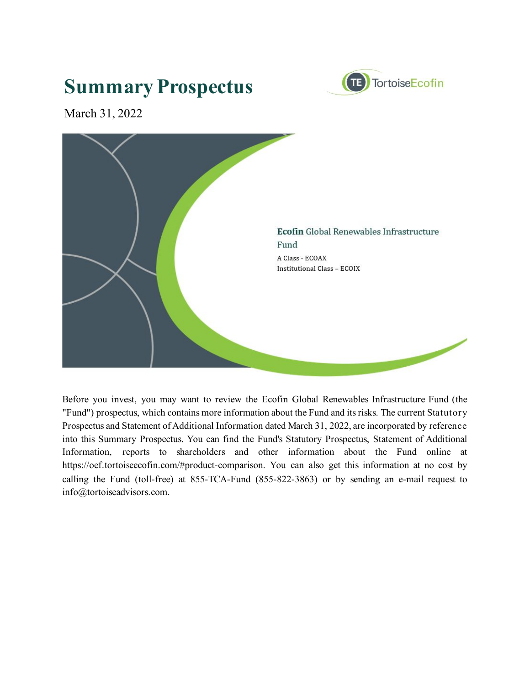# **Summary Prospectus**



March 31, 2022



Before you invest, you may want to review the Ecofin Global Renewables Infrastructure Fund (the "Fund") prospectus, which contains more information about the Fund and its risks. The current Statutory Prospectus and Statement of Additional Information dated March 31, 2022, are incorporated by reference into this Summary Prospectus. You can find the Fund's Statutory Prospectus, Statement of Additional Information, reports to shareholders and other information about the Fund online at https://oef.tortoiseecofin.com/#product-comparison. You can also get this information at no cost by calling the Fund (toll-free) at 855-TCA-Fund (855-822-3863) or by sending an e-mail request to info@tortoiseadvisors.com.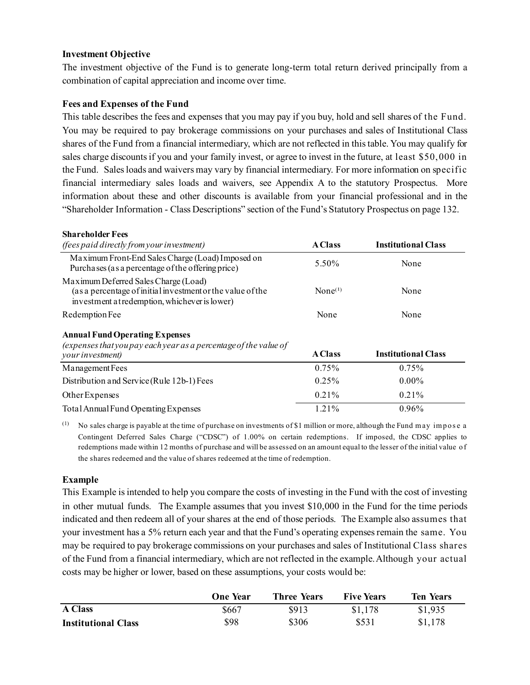## **Investment Objective**

The investment objective of the Fund is to generate long-term total return derived principally from a combination of capital appreciation and income over time.

#### **Fees and Expenses of the Fund**

This table describes the fees and expenses that you may pay if you buy, hold and sell shares of the Fund. You may be required to pay brokerage commissions on your purchases and sales of Institutional Class shares of the Fund from a financial intermediary, which are not reflected in this table. You may qualify for sales charge discounts if you and your family invest, or agree to invest in the future, at least \$50,000 in the Fund. Sales loads and waivers may vary by financial intermediary. For more information on specific financial intermediary sales loads and waivers, see Appendix A to the statutory Prospectus. More information about these and other discounts is available from your financial professional and in the "Shareholder Information - Class Descriptions" section of the Fund's Statutory Prospectus on page 132.

| <b>Shareholder Fees</b>                                                                                                                             |                     |                            |
|-----------------------------------------------------------------------------------------------------------------------------------------------------|---------------------|----------------------------|
| <i>(fees paid directly from your investment)</i>                                                                                                    | <b>A</b> Class      | <b>Institutional Class</b> |
| Maximum Front-End Sales Charge (Load) Imposed on<br>Purchases (as a percentage of the offering price)                                               | 5.50%               | None                       |
| Maximum Deferred Sales Charge (Load)<br>(as a percentage of initial investment or the value of the<br>investment a tredemption, whichever is lower) | None <sup>(1)</sup> | None                       |
| Redemption Fee                                                                                                                                      | None                | None                       |
| <b>Annual Fund Operating Expenses</b>                                                                                                               |                     |                            |
| (expenses that you pay each year as a percentage of the value of<br>your investment)                                                                | <b>A</b> Class      | <b>Institutional Class</b> |
| Management Fees                                                                                                                                     | $0.75\%$            | $0.75\%$                   |
| Distribution and Service (Rule 12b-1) Fees                                                                                                          | $0.25\%$            | $0.00\%$                   |
| Other Expenses                                                                                                                                      | 0.21%               | 0.21%                      |
| Total Annual Fund Operating Expenses                                                                                                                | 1.21%               | 0.96%                      |
|                                                                                                                                                     |                     |                            |

(1) No sales charge is payable at the time of purchase on investments of \$1 million or more, although the Fund may impose a Contingent Deferred Sales Charge ("CDSC") of 1.00% on certain redemptions. If imposed, the CDSC applies to redemptions made within 12 months of purchase and will be assessed on an amount equal to the lesser of the initial value o f the shares redeemed and the value of shares redeemed at the time of redemption.

## **Example**

This Example is intended to help you compare the costs of investing in the Fund with the cost of investing in other mutual funds. The Example assumes that you invest \$10,000 in the Fund for the time periods indicated and then redeem all of your shares at the end of those periods. The Example also assumes that your investment has a 5% return each year and that the Fund's operating expenses remain the same. You may be required to pay brokerage commissions on your purchases and sales of Institutional Class shares of the Fund from a financial intermediary, which are not reflected in the example. Although your actual costs may be higher or lower, based on these assumptions, your costs would be:

|                            | <b>One Year</b> | <b>Three Years</b> | <b>Five Years</b> | <b>Ten Years</b> |
|----------------------------|-----------------|--------------------|-------------------|------------------|
| <b>A Class</b>             | \$667           | \$913              | \$1,178           | \$1,935          |
| <b>Institutional Class</b> | \$98            | \$306              | \$531             | \$1,178          |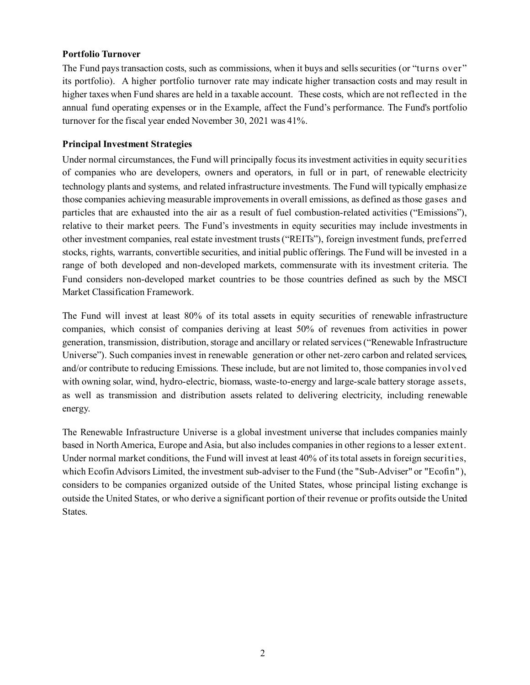## **Portfolio Turnover**

The Fund pays transaction costs, such as commissions, when it buys and sells securities (or "turns over" its portfolio). A higher portfolio turnover rate may indicate higher transaction costs and may result in higher taxes when Fund shares are held in a taxable account. These costs, which are not reflected in the annual fund operating expenses or in the Example, affect the Fund's performance. The Fund's portfolio turnover for the fiscal year ended November 30, 2021 was 41%.

## **Principal Investment Strategies**

Under normal circumstances, the Fund will principally focus its investment activities in equity securities of companies who are developers, owners and operators, in full or in part, of renewable electricity technology plants and systems, and related infrastructure investments. The Fund will typically emphasize those companies achieving measurable improvements in overall emissions, as defined as those gases and particles that are exhausted into the air as a result of fuel combustion-related activities ("Emissions"), relative to their market peers. The Fund's investments in equity securities may include investments in other investment companies, real estate investment trusts ("REITs"), foreign investment funds, preferred stocks, rights, warrants, convertible securities, and initial public offerings. The Fund will be invested in a range of both developed and non-developed markets, commensurate with its investment criteria. The Fund considers non-developed market countries to be those countries defined as such by the MSCI Market Classification Framework.

The Fund will invest at least 80% of its total assets in equity securities of renewable infrastructure companies, which consist of companies deriving at least 50% of revenues from activities in power generation, transmission, distribution, storage and ancillary or related services ("Renewable Infrastructure Universe"). Such companies invest in renewable generation or other net-zero carbon and related services, and/or contribute to reducing Emissions. These include, but are not limited to, those companies involved with owning solar, wind, hydro-electric, biomass, waste-to-energy and large-scale battery storage assets, as well as transmission and distribution assets related to delivering electricity, including renewable energy.

The Renewable Infrastructure Universe is a global investment universe that includes companies mainly based in North America, Europe and Asia, but also includes companies in other regions to a lesser extent. Under normal market conditions, the Fund will invest at least 40% of its total assets in foreign securities, which Ecofin Advisors Limited, the investment sub-adviser to the Fund (the "Sub-Adviser" or "Ecofin"), considers to be companies organized outside of the United States, whose principal listing exchange is outside the United States, or who derive a significant portion of their revenue or profits outside the United States.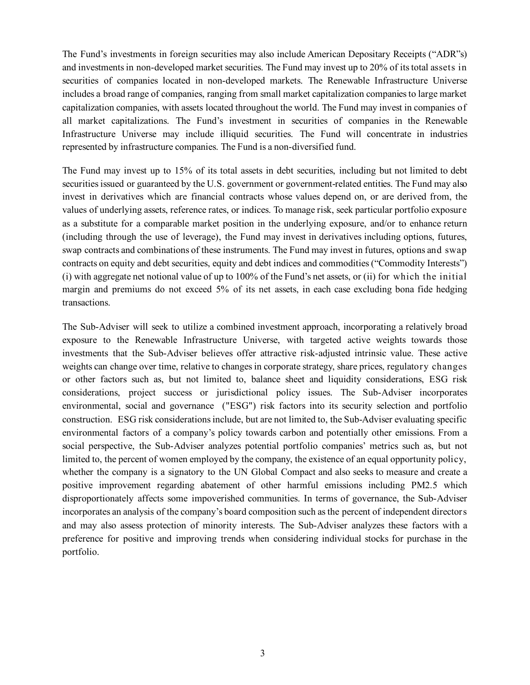The Fund's investments in foreign securities may also include American Depositary Receipts ("ADR"s) and investments in non-developed market securities. The Fund may invest up to 20% of its total assets in securities of companies located in non-developed markets. The Renewable Infrastructure Universe includes a broad range of companies, ranging from small market capitalization companies to large market capitalization companies, with assets located throughout the world. The Fund may invest in companies of all market capitalizations. The Fund's investment in securities of companies in the Renewable Infrastructure Universe may include illiquid securities. The Fund will concentrate in industries represented by infrastructure companies. The Fund is a non-diversified fund.

The Fund may invest up to 15% of its total assets in debt securities, including but not limited to debt securities issued or guaranteed by the U.S. government or government-related entities. The Fund may also invest in derivatives which are financial contracts whose values depend on, or are derived from, the values of underlying assets, reference rates, or indices. To manage risk, seek particular portfolio exposure as a substitute for a comparable market position in the underlying exposure, and/or to enhance return (including through the use of leverage), the Fund may invest in derivatives including options, futures, swap contracts and combinations of these instruments. The Fund may invest in futures, options and swap contracts on equity and debt securities, equity and debt indices and commodities ("Commodity Interests") (i) with aggregate net notional value of up to 100% of the Fund's net assets, or (ii) for which the initial margin and premiums do not exceed 5% of its net assets, in each case excluding bona fide hedging transactions.

The Sub-Adviser will seek to utilize a combined investment approach, incorporating a relatively broad exposure to the Renewable Infrastructure Universe, with targeted active weights towards those investments that the Sub-Adviser believes offer attractive risk-adjusted intrinsic value. These active weights can change over time, relative to changes in corporate strategy, share prices, regulatory changes or other factors such as, but not limited to, balance sheet and liquidity considerations, ESG risk considerations, project success or jurisdictional policy issues. The Sub-Adviser incorporates environmental, social and governance ("ESG") risk factors into its security selection and portfolio construction. ESG risk considerations include, but are not limited to, the Sub-Adviser evaluating specific environmental factors of a company's policy towards carbon and potentially other emissions. From a social perspective, the Sub-Adviser analyzes potential portfolio companies' metrics such as, but not limited to, the percent of women employed by the company, the existence of an equal opportunity policy, whether the company is a signatory to the UN Global Compact and also seeks to measure and create a positive improvement regarding abatement of other harmful emissions including PM2.5 which disproportionately affects some impoverished communities. In terms of governance, the Sub-Adviser incorporates an analysis of the company's board composition such as the percent of independent directors and may also assess protection of minority interests. The Sub-Adviser analyzes these factors with a preference for positive and improving trends when considering individual stocks for purchase in the portfolio.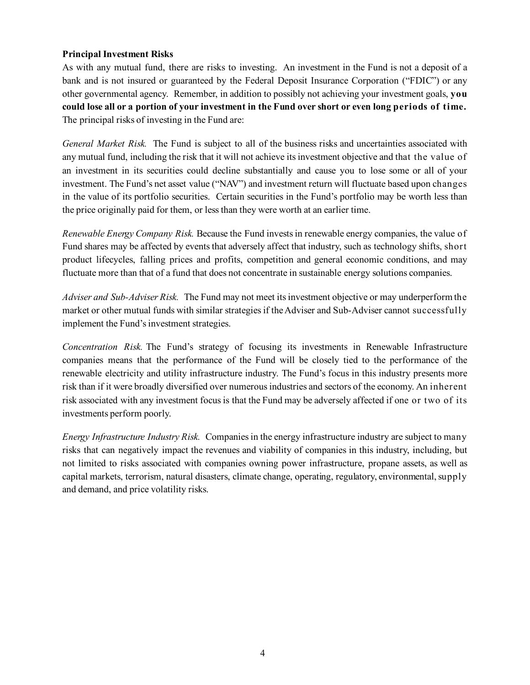## **Principal Investment Risks**

As with any mutual fund, there are risks to investing. An investment in the Fund is not a deposit of a bank and is not insured or guaranteed by the Federal Deposit Insurance Corporation ("FDIC") or any other governmental agency. Remember, in addition to possibly not achieving your investment goals, **you could lose all or a portion of your investment in the Fund over short or even long periods of time.** The principal risks of investing in the Fund are:

*General Market Risk.* The Fund is subject to all of the business risks and uncertainties associated with any mutual fund, including the risk that it will not achieve its investment objective and that the value of an investment in its securities could decline substantially and cause you to lose some or all of your investment. The Fund's net asset value ("NAV") and investment return will fluctuate based upon changes in the value of its portfolio securities. Certain securities in the Fund's portfolio may be worth less than the price originally paid for them, or less than they were worth at an earlier time.

*Renewable Energy Company Risk.* Because the Fund invests in renewable energy companies, the value of Fund shares may be affected by events that adversely affect that industry, such as technology shifts, short product lifecycles, falling prices and profits, competition and general economic conditions, and may fluctuate more than that of a fund that does not concentrate in sustainable energy solutions companies.

*Adviser and Sub-Adviser Risk.* The Fund may not meet its investment objective or may underperform the market or other mutual funds with similar strategies if the Adviser and Sub-Adviser cannot successfully implement the Fund's investment strategies.

*Concentration Risk.* The Fund's strategy of focusing its investments in Renewable Infrastructure companies means that the performance of the Fund will be closely tied to the performance of the renewable electricity and utility infrastructure industry. The Fund's focus in this industry presents more risk than if it were broadly diversified over numerous industries and sectors of the economy. An inherent risk associated with any investment focus is that the Fund may be adversely affected if one or two of its investments perform poorly.

*Energy Infrastructure Industry Risk.* Companies in the energy infrastructure industry are subject to many risks that can negatively impact the revenues and viability of companies in this industry, including, but not limited to risks associated with companies owning power infrastructure, propane assets, as well as capital markets, terrorism, natural disasters, climate change, operating, regulatory, environmental, supply and demand, and price volatility risks.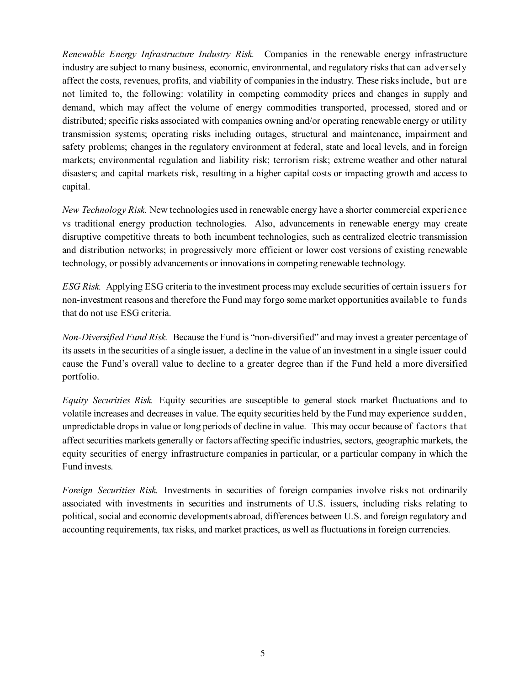*Renewable Energy Infrastructure Industry Risk.* Companies in the renewable energy infrastructure industry are subject to many business, economic, environmental, and regulatory risks that can adversely affect the costs, revenues, profits, and viability of companies in the industry. These risks include, but are not limited to, the following: volatility in competing commodity prices and changes in supply and demand, which may affect the volume of energy commodities transported, processed, stored and or distributed; specific risks associated with companies owning and/or operating renewable energy or utility transmission systems; operating risks including outages, structural and maintenance, impairment and safety problems; changes in the regulatory environment at federal, state and local levels, and in foreign markets; environmental regulation and liability risk; terrorism risk; extreme weather and other natural disasters; and capital markets risk, resulting in a higher capital costs or impacting growth and access to capital.

*New Technology Risk.* New technologies used in renewable energy have a shorter commercial experience vs traditional energy production technologies. Also, advancements in renewable energy may create disruptive competitive threats to both incumbent technologies, such as centralized electric transmission and distribution networks; in progressively more efficient or lower cost versions of existing renewable technology, or possibly advancements or innovations in competing renewable technology.

*ESG Risk.* Applying ESG criteria to the investment process may exclude securities of certain issuers for non-investment reasons and therefore the Fund may forgo some market opportunities available to funds that do not use ESG criteria.

*Non-Diversified Fund Risk.* Because the Fund is "non-diversified" and may invest a greater percentage of its assets in the securities of a single issuer, a decline in the value of an investment in a single issuer could cause the Fund's overall value to decline to a greater degree than if the Fund held a more diversified portfolio.

*Equity Securities Risk.* Equity securities are susceptible to general stock market fluctuations and to volatile increases and decreases in value. The equity securities held by the Fund may experience sudden, unpredictable drops in value or long periods of decline in value. This may occur because of factors that affect securities markets generally or factors affecting specific industries, sectors, geographic markets, the equity securities of energy infrastructure companies in particular, or a particular company in which the Fund invests.

*Foreign Securities Risk.* Investments in securities of foreign companies involve risks not ordinarily associated with investments in securities and instruments of U.S. issuers, including risks relating to political, social and economic developments abroad, differences between U.S. and foreign regulatory and accounting requirements, tax risks, and market practices, as well as fluctuations in foreign currencies.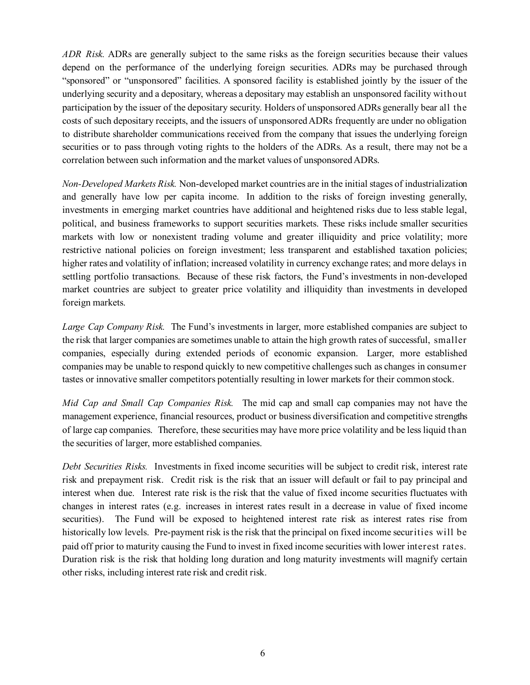*ADR Risk.* ADRs are generally subject to the same risks as the foreign securities because their values depend on the performance of the underlying foreign securities. ADRs may be purchased through "sponsored" or "unsponsored" facilities. A sponsored facility is established jointly by the issuer of the underlying security and a depositary, whereas a depositary may establish an unsponsored facility without participation by the issuer of the depositary security. Holders of unsponsored ADRs generally bear all the costs of such depositary receipts, and the issuers of unsponsored ADRs frequently are under no obligation to distribute shareholder communications received from the company that issues the underlying foreign securities or to pass through voting rights to the holders of the ADRs. As a result, there may not be a correlation between such information and the market values of unsponsored ADRs.

*Non-Developed Markets Risk.* Non-developed market countries are in the initial stages of industrialization and generally have low per capita income. In addition to the risks of foreign investing generally, investments in emerging market countries have additional and heightened risks due to less stable legal, political, and business frameworks to support securities markets. These risks include smaller securities markets with low or nonexistent trading volume and greater illiquidity and price volatility; more restrictive national policies on foreign investment; less transparent and established taxation policies; higher rates and volatility of inflation; increased volatility in currency exchange rates; and more delays in settling portfolio transactions. Because of these risk factors, the Fund's investments in non-developed market countries are subject to greater price volatility and illiquidity than investments in developed foreign markets.

*Large Cap Company Risk.* The Fund's investments in larger, more established companies are subject to the risk that larger companies are sometimes unable to attain the high growth rates of successful, smaller companies, especially during extended periods of economic expansion. Larger, more established companies may be unable to respond quickly to new competitive challenges such as changes in consumer tastes or innovative smaller competitors potentially resulting in lower markets for their common stock.

*Mid Cap and Small Cap Companies Risk.* The mid cap and small cap companies may not have the management experience, financial resources, product or business diversification and competitive strengths of large cap companies. Therefore, these securities may have more price volatility and be less liquid than the securities of larger, more established companies.

*Debt Securities Risks.* Investments in fixed income securities will be subject to credit risk, interest rate risk and prepayment risk. Credit risk is the risk that an issuer will default or fail to pay principal and interest when due. Interest rate risk is the risk that the value of fixed income securities fluctuates with changes in interest rates (e.g. increases in interest rates result in a decrease in value of fixed income securities). The Fund will be exposed to heightened interest rate risk as interest rates rise from historically low levels. Pre-payment risk is the risk that the principal on fixed income securities will be paid off prior to maturity causing the Fund to invest in fixed income securities with lower interest rates. Duration risk is the risk that holding long duration and long maturity investments will magnify certain other risks, including interest rate risk and credit risk.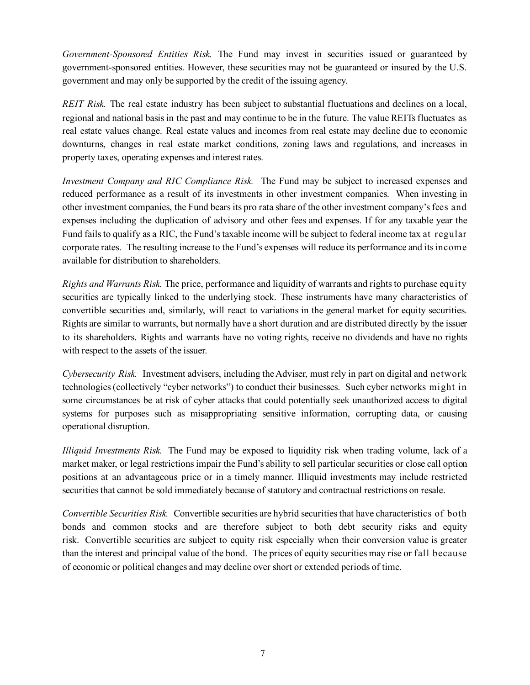*Government-Sponsored Entities Risk.* The Fund may invest in securities issued or guaranteed by government-sponsored entities. However, these securities may not be guaranteed or insured by the U.S. government and may only be supported by the credit of the issuing agency.

*REIT Risk.* The real estate industry has been subject to substantial fluctuations and declines on a local, regional and national basis in the past and may continue to be in the future. The value REITs fluctuates as real estate values change. Real estate values and incomes from real estate may decline due to economic downturns, changes in real estate market conditions, zoning laws and regulations, and increases in property taxes, operating expenses and interest rates.

*Investment Company and RIC Compliance Risk.* The Fund may be subject to increased expenses and reduced performance as a result of its investments in other investment companies. When investing in other investment companies, the Fund bears its pro rata share of the other investment company's fees and expenses including the duplication of advisory and other fees and expenses. If for any taxable year the Fund fails to qualify as a RIC, the Fund's taxable income will be subject to federal income tax at regular corporate rates. The resulting increase to the Fund's expenses will reduce its performance and its income available for distribution to shareholders.

*Rights and Warrants Risk.* The price, performance and liquidity of warrants and rights to purchase equity securities are typically linked to the underlying stock. These instruments have many characteristics of convertible securities and, similarly, will react to variations in the general market for equity securities. Rights are similar to warrants, but normally have a short duration and are distributed directly by the issuer to its shareholders. Rights and warrants have no voting rights, receive no dividends and have no rights with respect to the assets of the issuer.

*Cybersecurity Risk.* Investment advisers, including the Adviser, must rely in part on digital and network technologies (collectively "cyber networks") to conduct their businesses. Such cyber networks might in some circumstances be at risk of cyber attacks that could potentially seek unauthorized access to digital systems for purposes such as misappropriating sensitive information, corrupting data, or causing operational disruption.

*Illiquid Investments Risk.* The Fund may be exposed to liquidity risk when trading volume, lack of a market maker, or legal restrictions impair the Fund's ability to sell particular securities or close call option positions at an advantageous price or in a timely manner. Illiquid investments may include restricted securities that cannot be sold immediately because of statutory and contractual restrictions on resale.

*Convertible Securities Risk.* Convertible securities are hybrid securities that have characteristics of both bonds and common stocks and are therefore subject to both debt security risks and equity risk. Convertible securities are subject to equity risk especially when their conversion value is greater than the interest and principal value of the bond. The prices of equity securities may rise or fall because of economic or political changes and may decline over short or extended periods of time.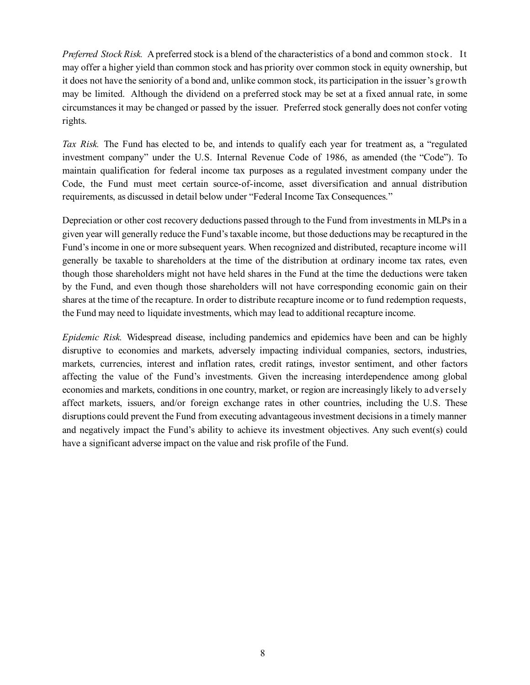*Preferred Stock Risk.* A preferred stock is a blend of the characteristics of a bond and common stock. It may offer a higher yield than common stock and has priority over common stock in equity ownership, but it does not have the seniority of a bond and, unlike common stock, its participation in the issuer's growth may be limited. Although the dividend on a preferred stock may be set at a fixed annual rate, in some circumstances it may be changed or passed by the issuer. Preferred stock generally does not confer voting rights.

*Tax Risk.* The Fund has elected to be, and intends to qualify each year for treatment as, a "regulated investment company" under the U.S. Internal Revenue Code of 1986, as amended (the "Code"). To maintain qualification for federal income tax purposes as a regulated investment company under the Code, the Fund must meet certain source-of-income, asset diversification and annual distribution requirements, as discussed in detail below under "Federal Income Tax Consequences."

Depreciation or other cost recovery deductions passed through to the Fund from investments in MLPs in a given year will generally reduce the Fund's taxable income, but those deductions may be recaptured in the Fund's income in one or more subsequent years. When recognized and distributed, recapture income will generally be taxable to shareholders at the time of the distribution at ordinary income tax rates, even though those shareholders might not have held shares in the Fund at the time the deductions were taken by the Fund, and even though those shareholders will not have corresponding economic gain on their shares at the time of the recapture. In order to distribute recapture income or to fund redemption requests, the Fund may need to liquidate investments, which may lead to additional recapture income.

*Epidemic Risk.* Widespread disease, including pandemics and epidemics have been and can be highly disruptive to economies and markets, adversely impacting individual companies, sectors, industries, markets, currencies, interest and inflation rates, credit ratings, investor sentiment, and other factors affecting the value of the Fund's investments. Given the increasing interdependence among global economies and markets, conditions in one country, market, or region are increasingly likely to adversely affect markets, issuers, and/or foreign exchange rates in other countries, including the U.S. These disruptions could prevent the Fund from executing advantageous investment decisions in a timely manner and negatively impact the Fund's ability to achieve its investment objectives. Any such event(s) could have a significant adverse impact on the value and risk profile of the Fund.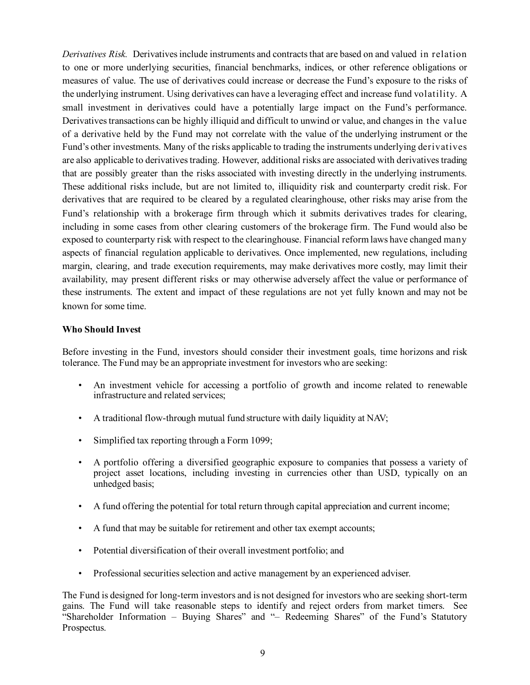*Derivatives Risk.* Derivatives include instruments and contracts that are based on and valued in relation to one or more underlying securities, financial benchmarks, indices, or other reference obligations or measures of value. The use of derivatives could increase or decrease the Fund's exposure to the risks of the underlying instrument. Using derivatives can have a leveraging effect and increase fund volatility. A small investment in derivatives could have a potentially large impact on the Fund's performance. Derivatives transactions can be highly illiquid and difficult to unwind or value, and changes in the value of a derivative held by the Fund may not correlate with the value of the underlying instrument or the Fund's other investments. Many of the risks applicable to trading the instruments underlying derivatives are also applicable to derivatives trading. However, additional risks are associated with derivatives trading that are possibly greater than the risks associated with investing directly in the underlying instruments. These additional risks include, but are not limited to, illiquidity risk and counterparty credit risk. For derivatives that are required to be cleared by a regulated clearinghouse, other risks may arise from the Fund's relationship with a brokerage firm through which it submits derivatives trades for clearing, including in some cases from other clearing customers of the brokerage firm. The Fund would also be exposed to counterparty risk with respect to the clearinghouse. Financial reform laws have changed many aspects of financial regulation applicable to derivatives. Once implemented, new regulations, including margin, clearing, and trade execution requirements, may make derivatives more costly, may limit their availability, may present different risks or may otherwise adversely affect the value or performance of these instruments. The extent and impact of these regulations are not yet fully known and may not be known for some time.

#### **Who Should Invest**

Before investing in the Fund, investors should consider their investment goals, time horizons and risk tolerance. The Fund may be an appropriate investment for investors who are seeking:

- *•* An investment vehicle for accessing a portfolio of growth and income related to renewable infrastructure and related services;
- *•* A traditional flow-through mutual fund structure with daily liquidity at NAV;
- *•* Simplified tax reporting through a Form 1099;
- *•* A portfolio offering a diversified geographic exposure to companies that possess a variety of project asset locations, including investing in currencies other than USD, typically on an unhedged basis;
- A fund offering the potential for total return through capital appreciation and current income;
- *•* A fund that may be suitable for retirement and other tax exempt accounts;
- *•* Potential diversification of their overall investment portfolio; and
- Professional securities selection and active management by an experienced adviser.

The Fund is designed for long-term investors and is not designed for investors who are seeking short-term gains. The Fund will take reasonable steps to identify and reject orders from market timers. See "Shareholder Information – Buying Shares" and "– Redeeming Shares" of the Fund's Statutory Prospectus.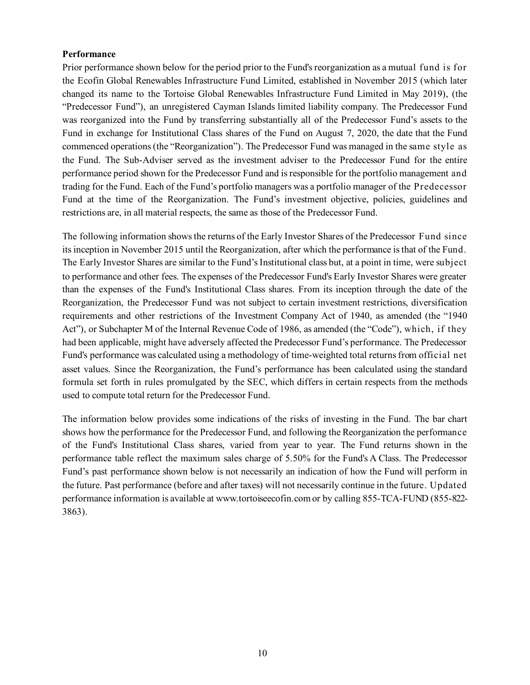#### **Performance**

Prior performance shown below for the period prior to the Fund's reorganization as a mutual fund is for the Ecofin Global Renewables Infrastructure Fund Limited, established in November 2015 (which later changed its name to the Tortoise Global Renewables Infrastructure Fund Limited in May 2019), (the "Predecessor Fund"), an unregistered Cayman Islands limited liability company. The Predecessor Fund was reorganized into the Fund by transferring substantially all of the Predecessor Fund's assets to the Fund in exchange for Institutional Class shares of the Fund on August 7, 2020, the date that the Fund commenced operations (the "Reorganization"). The Predecessor Fund was managed in the same style as the Fund. The Sub-Adviser served as the investment adviser to the Predecessor Fund for the entire performance period shown for the Predecessor Fund and is responsible for the portfolio management and trading for the Fund. Each of the Fund's portfolio managers was a portfolio manager of the Predecessor Fund at the time of the Reorganization. The Fund's investment objective, policies, guidelines and restrictions are, in all material respects, the same as those of the Predecessor Fund.

The following information shows the returns of the Early Investor Shares of the Predecessor Fund since its inception in November 2015 until the Reorganization, after which the performance is that of the Fund. The Early Investor Shares are similar to the Fund's Institutional class but, at a point in time, were subject to performance and other fees. The expenses of the Predecessor Fund's Early Investor Shares were greater than the expenses of the Fund's Institutional Class shares. From its inception through the date of the Reorganization, the Predecessor Fund was not subject to certain investment restrictions, diversification requirements and other restrictions of the Investment Company Act of 1940, as amended (the "1940 Act"), or Subchapter M of the Internal Revenue Code of 1986, as amended (the "Code"), which, if they had been applicable, might have adversely affected the Predecessor Fund's performance. The Predecessor Fund's performance was calculated using a methodology of time-weighted total returns from official net asset values. Since the Reorganization, the Fund's performance has been calculated using the standard formula set forth in rules promulgated by the SEC, which differs in certain respects from the methods used to compute total return for the Predecessor Fund.

The information below provides some indications of the risks of investing in the Fund. The bar chart shows how the performance for the Predecessor Fund, and following the Reorganization the performance of the Fund's Institutional Class shares, varied from year to year. The Fund returns shown in the performance table reflect the maximum sales charge of 5.50% for the Fund's A Class. The Predecessor Fund's past performance shown below is not necessarily an indication of how the Fund will perform in the future. Past performance (before and after taxes) will not necessarily continue in the future. Updated performance information is available at www.tortoiseecofin.com or by calling 855-TCA-FUND (855-822- 3863).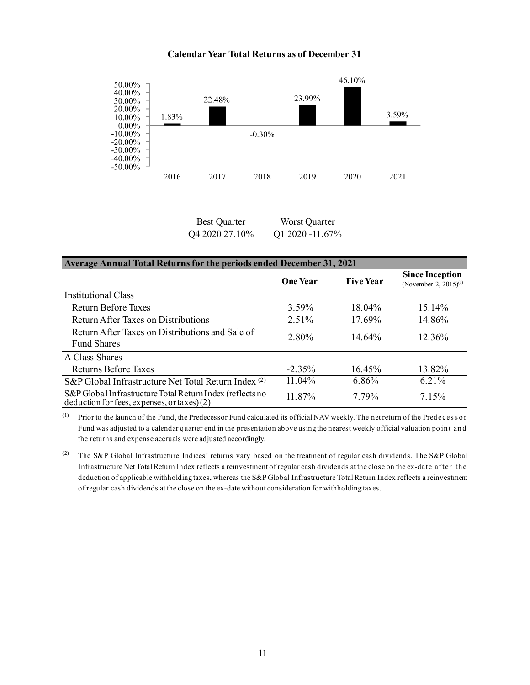#### **Calendar Year Total Returns as of December 31**



Best Quarter Worst Quarter Q4 2020 27.10% Q1 2020 -11.67%

#### **Average Annual Total Returns for the periods ended December 31, 2021**

|                                                                                                         | <b>One Year</b> | <b>Five Year</b> | <b>Since Inception</b><br>(November 2, 2015) <sup>(1)</sup> |
|---------------------------------------------------------------------------------------------------------|-----------------|------------------|-------------------------------------------------------------|
| Institutional Class                                                                                     |                 |                  |                                                             |
| Return Before Taxes                                                                                     | $3.59\%$        | $18.04\%$        | 15.14%                                                      |
| Return After Taxes on Distributions                                                                     | $2.51\%$        | 17.69%           | 14.86%                                                      |
| Return After Taxes on Distributions and Sale of<br><b>Fund Shares</b>                                   | 2.80%           | 14.64%           | 12.36%                                                      |
| A Class Shares                                                                                          |                 |                  |                                                             |
| Returns Before Taxes                                                                                    | $-2.35%$        | 16.45%           | 13.82%                                                      |
| S&P Global Infrastructure Net Total Return Index <sup>(2)</sup>                                         | 11.04%          | 6.86%            | $6.21\%$                                                    |
| S&P Global Infrastructure Total Return Index (reflects no<br>deduction for fees, expenses, or taxes)(2) | 11.87%          | 7.79%            | 7.15%                                                       |

(1) Prior to the launch of the Fund, the Predecessor Fund calculated its official NAV weekly. The net return of the Pred eces s o r Fund was adjusted to a calendar quarter end in the presentation above using the nearest weekly official valuation po in t an d the returns and expense accruals were adjusted accordingly.

(2) The S&P Global Infrastructure Indices' returns vary based on the treatment of regular cash dividends. The S&P Global Infrastructure Net Total Return Index reflects a reinvestment of regular cash dividends at the close on the ex-date after the deduction of applicable withholding taxes, whereas the S&P Global Infrastructure Total Return Index reflects a reinvestment of regular cash dividends at the close on the ex-date without consideration for withholding taxes.